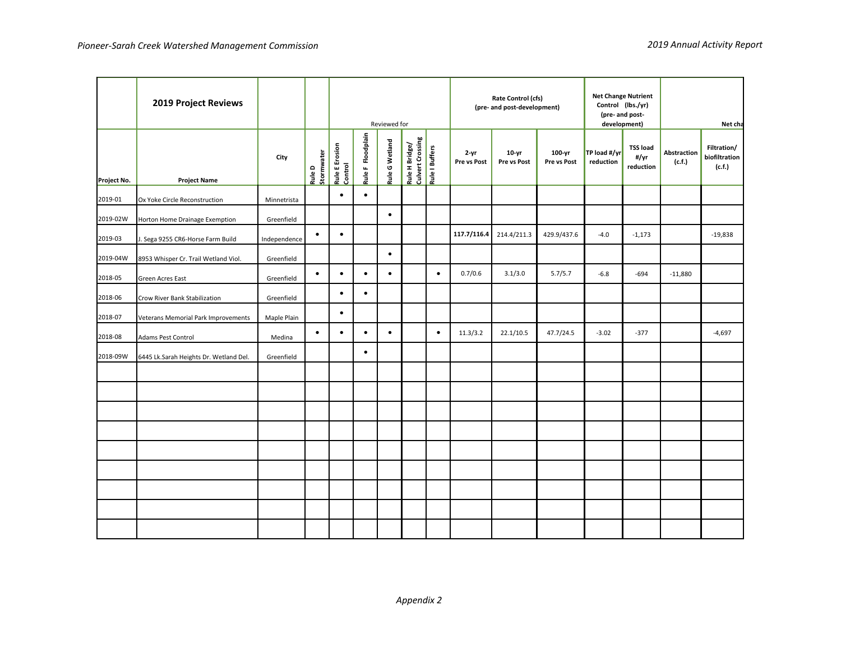|             | 2019 Project Reviews                   |              | Reviewed for         |                           |                   |                |                                    | Rate Control (cfs)<br>(pre- and post-development) |                         |                        | <b>Net Change Nutrient</b><br>Control (lbs./yr)<br>(pre- and post-<br>development) |                           | Net cha                              |                       |                                        |
|-------------|----------------------------------------|--------------|----------------------|---------------------------|-------------------|----------------|------------------------------------|---------------------------------------------------|-------------------------|------------------------|------------------------------------------------------------------------------------|---------------------------|--------------------------------------|-----------------------|----------------------------------------|
| Project No. | <b>Project Name</b>                    | City         | Rule D<br>Stormwater | Rule E Erosion<br>Control | Rule F Floodplain | Rule G Wetland | Rule H Bridge/<br>Culvert Crossing | Rule I Buffers                                    | $2 - yr$<br>Pre vs Post | $10-yr$<br>Pre vs Post | 100-yr<br>Pre vs Post                                                              | TP load #/yr<br>reduction | <b>TSS load</b><br>#/yr<br>reduction | Abstraction<br>(c.f.) | Filtration/<br>biofiltration<br>(c.f.) |
| 2019-01     | Ox Yoke Circle Reconstruction          | Minnetrista  |                      | $\bullet$                 | $\bullet$         |                |                                    |                                                   |                         |                        |                                                                                    |                           |                                      |                       |                                        |
| 2019-02W    | Horton Home Drainage Exemption         | Greenfield   |                      |                           |                   | $\bullet$      |                                    |                                                   |                         |                        |                                                                                    |                           |                                      |                       |                                        |
| 2019-03     | . Sega 9255 CR6-Horse Farm Build       | Independence | $\bullet$            | $\bullet$                 |                   |                |                                    |                                                   | 117.7/116.4             | 214.4/211.3            | 429.9/437.6                                                                        | $-4.0$                    | $-1,173$                             |                       | $-19,838$                              |
| 2019-04W    | 8953 Whisper Cr. Trail Wetland Viol.   | Greenfield   |                      |                           |                   | $\bullet$      |                                    |                                                   |                         |                        |                                                                                    |                           |                                      |                       |                                        |
| 2018-05     | Green Acres East                       | Greenfield   | $\bullet$            | $\bullet$                 | $\bullet$         | $\bullet$      |                                    | $\bullet$                                         | 0.7/0.6                 | 3.1/3.0                | 5.7/5.7                                                                            | $-6.8$                    | $-694$                               | $-11,880$             |                                        |
| 2018-06     | Crow River Bank Stabilization          | Greenfield   |                      | $\bullet$                 | $\bullet$         |                |                                    |                                                   |                         |                        |                                                                                    |                           |                                      |                       |                                        |
| 2018-07     | Veterans Memorial Park Improvements    | Maple Plain  |                      | $\bullet$                 |                   |                |                                    |                                                   |                         |                        |                                                                                    |                           |                                      |                       |                                        |
| 2018-08     | <b>Adams Pest Control</b>              | Medina       | $\bullet$            | $\bullet$                 | $\bullet$         | $\bullet$      |                                    | $\bullet$                                         | 11.3/3.2                | 22.1/10.5              | 47.7/24.5                                                                          | $-3.02$                   | $-377$                               |                       | $-4,697$                               |
| 2018-09W    | 6445 Lk.Sarah Heights Dr. Wetland Del. | Greenfield   |                      |                           | $\bullet$         |                |                                    |                                                   |                         |                        |                                                                                    |                           |                                      |                       |                                        |
|             |                                        |              |                      |                           |                   |                |                                    |                                                   |                         |                        |                                                                                    |                           |                                      |                       |                                        |
|             |                                        |              |                      |                           |                   |                |                                    |                                                   |                         |                        |                                                                                    |                           |                                      |                       |                                        |
|             |                                        |              |                      |                           |                   |                |                                    |                                                   |                         |                        |                                                                                    |                           |                                      |                       |                                        |
|             |                                        |              |                      |                           |                   |                |                                    |                                                   |                         |                        |                                                                                    |                           |                                      |                       |                                        |
|             |                                        |              |                      |                           |                   |                |                                    |                                                   |                         |                        |                                                                                    |                           |                                      |                       |                                        |
|             |                                        |              |                      |                           |                   |                |                                    |                                                   |                         |                        |                                                                                    |                           |                                      |                       |                                        |
|             |                                        |              |                      |                           |                   |                |                                    |                                                   |                         |                        |                                                                                    |                           |                                      |                       |                                        |
|             |                                        |              |                      |                           |                   |                |                                    |                                                   |                         |                        |                                                                                    |                           |                                      |                       |                                        |